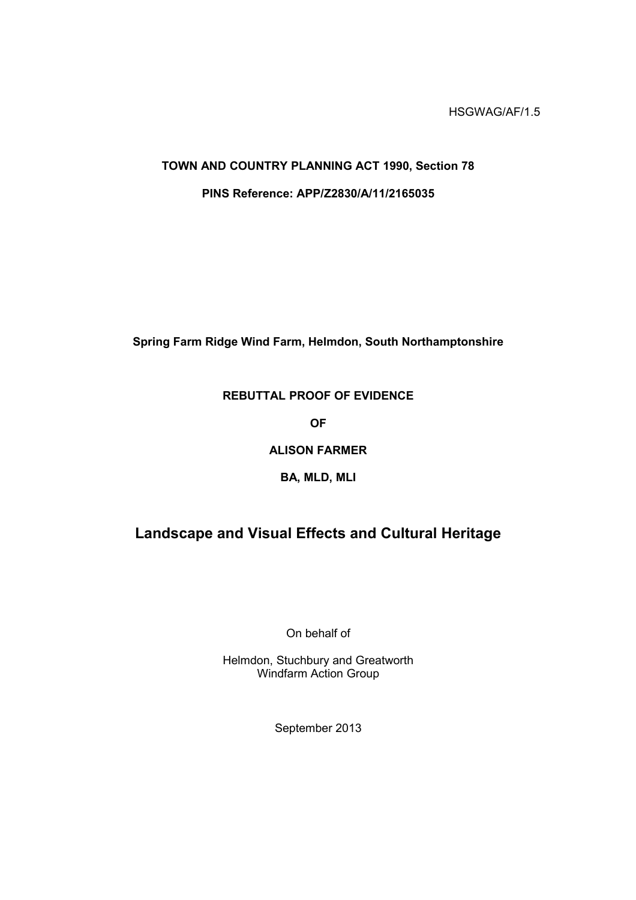# **TOWN AND COUNTRY PLANNING ACT 1990, Section 78 PINS Reference: APP/Z2830/A/11/2165035**

**Spring Farm Ridge Wind Farm, Helmdon, South Northamptonshire**

## **REBUTTAL PROOF OF EVIDENCE**

**OF**

## **ALISON FARMER**

#### **BA, MLD, MLI**

## **Landscape and Visual Effects and Cultural Heritage**

On behalf of

Helmdon, Stuchbury and Greatworth Windfarm Action Group

September 2013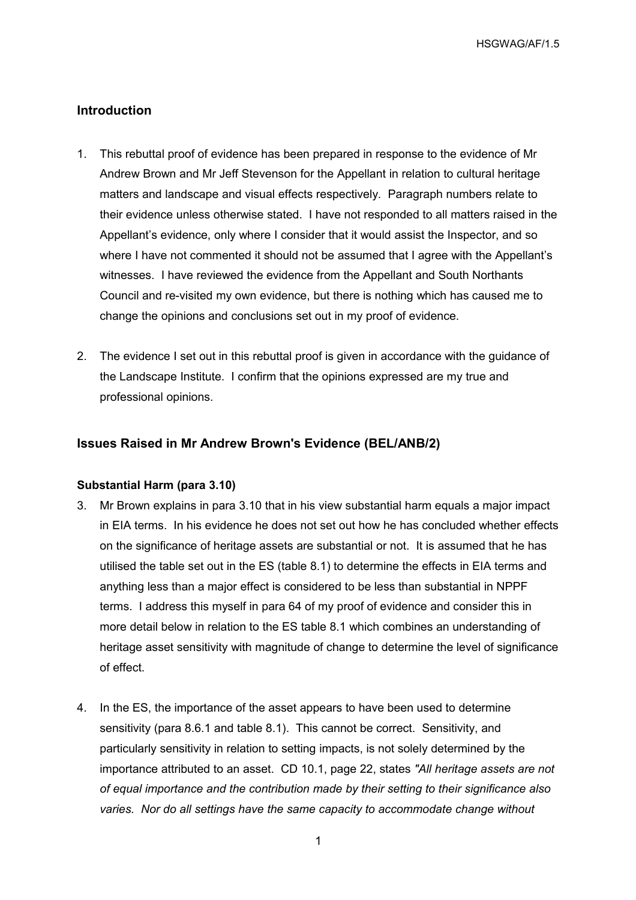### **Introduction**

- 1. This rebuttal proof of evidence has been prepared in response to the evidence of Mr Andrew Brown and Mr Jeff Stevenson for the Appellant in relation to cultural heritage matters and landscape and visual effects respectively. Paragraph numbers relate to their evidence unless otherwise stated. I have not responded to all matters raised in the Appellant's evidence, only where I consider that it would assist the Inspector, and so where I have not commented it should not be assumed that I agree with the Appellant's witnesses. I have reviewed the evidence from the Appellant and South Northants Council and re-visited my own evidence, but there is nothing which has caused me to change the opinions and conclusions set out in my proof of evidence.
- 2. The evidence I set out in this rebuttal proof is given in accordance with the guidance of the Landscape Institute. I confirm that the opinions expressed are my true and professional opinions.

#### **Issues Raised in Mr Andrew Brown's Evidence (BEL/ANB/2)**

#### **Substantial Harm (para 3.10)**

- 3. Mr Brown explains in para 3.10 that in his view substantial harm equals a major impact in EIA terms. In his evidence he does not set out how he has concluded whether effects on the significance of heritage assets are substantial or not. It is assumed that he has utilised the table set out in the ES (table 8.1) to determine the effects in EIA terms and anything less than a major effect is considered to be less than substantial in NPPF terms. I address this myself in para 64 of my proof of evidence and consider this in more detail below in relation to the ES table 8.1 which combines an understanding of heritage asset sensitivity with magnitude of change to determine the level of significance of effect.
- 4. In the ES, the importance of the asset appears to have been used to determine sensitivity (para 8.6.1 and table 8.1). This cannot be correct. Sensitivity, and particularly sensitivity in relation to setting impacts, is not solely determined by the importance attributed to an asset. CD 10.1, page 22, states *"All heritage assets are not of equal importance and the contribution made by their setting to their significance also varies. Nor do all settings have the same capacity to accommodate change without*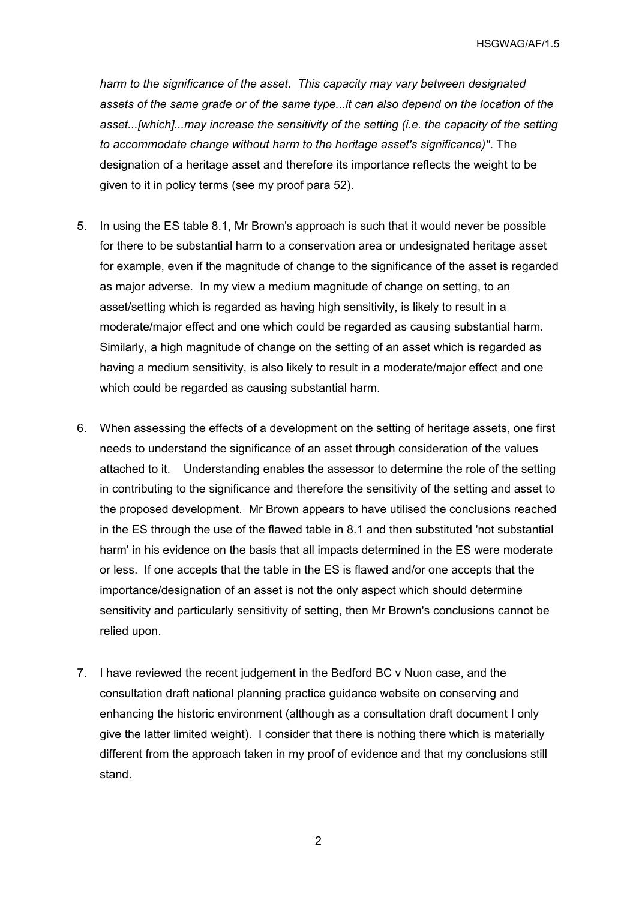*harm to the significance of the asset. This capacity may vary between designated assets of the same grade or of the same type...it can also depend on the location of the asset...[which]...may increase the sensitivity of the setting (i.e. the capacity of the setting to accommodate change without harm to the heritage asset's significance)"*. The designation of a heritage asset and therefore its importance reflects the weight to be given to it in policy terms (see my proof para 52).

- 5. In using the ES table 8.1, Mr Brown's approach is such that it would never be possible for there to be substantial harm to a conservation area or undesignated heritage asset for example, even if the magnitude of change to the significance of the asset is regarded as major adverse. In my view a medium magnitude of change on setting, to an asset/setting which is regarded as having high sensitivity, is likely to result in a moderate/major effect and one which could be regarded as causing substantial harm. Similarly, a high magnitude of change on the setting of an asset which is regarded as having a medium sensitivity, is also likely to result in a moderate/major effect and one which could be regarded as causing substantial harm.
- 6. When assessing the effects of a development on the setting of heritage assets, one first needs to understand the significance of an asset through consideration of the values attached to it. Understanding enables the assessor to determine the role of the setting in contributing to the significance and therefore the sensitivity of the setting and asset to the proposed development. Mr Brown appears to have utilised the conclusions reached in the ES through the use of the flawed table in 8.1 and then substituted 'not substantial harm' in his evidence on the basis that all impacts determined in the ES were moderate or less. If one accepts that the table in the ES is flawed and/or one accepts that the importance/designation of an asset is not the only aspect which should determine sensitivity and particularly sensitivity of setting, then Mr Brown's conclusions cannot be relied upon.
- 7. I have reviewed the recent judgement in the Bedford BC v Nuon case, and the consultation draft national planning practice guidance website on conserving and enhancing the historic environment (although as a consultation draft document I only give the latter limited weight). I consider that there is nothing there which is materially different from the approach taken in my proof of evidence and that my conclusions still stand.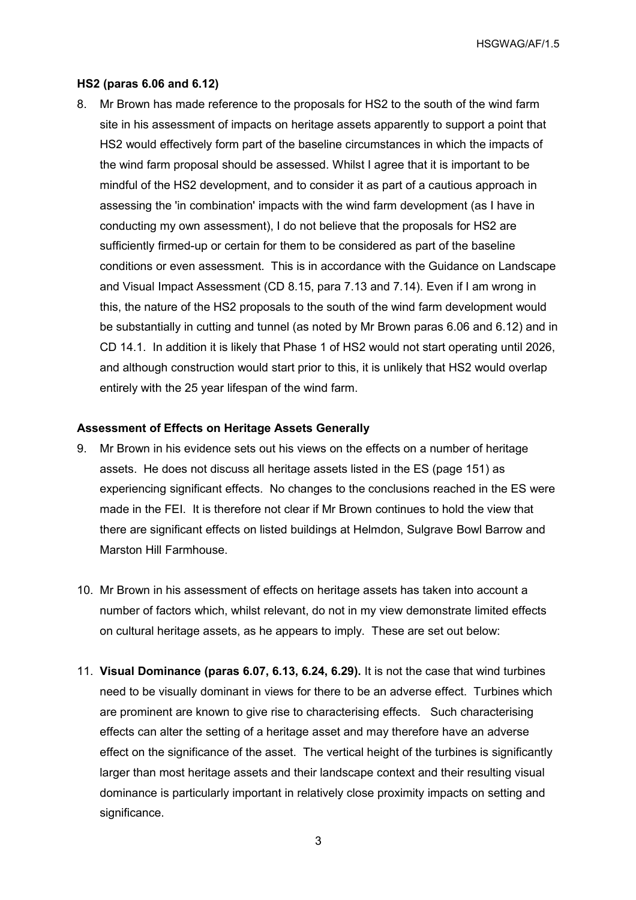#### **HS2 (paras 6.06 and 6.12)**

8. Mr Brown has made reference to the proposals for HS2 to the south of the wind farm site in his assessment of impacts on heritage assets apparently to support a point that HS2 would effectively form part of the baseline circumstances in which the impacts of the wind farm proposal should be assessed. Whilst I agree that it is important to be mindful of the HS2 development, and to consider it as part of a cautious approach in assessing the 'in combination' impacts with the wind farm development (as I have in conducting my own assessment), I do not believe that the proposals for HS2 are sufficiently firmed-up or certain for them to be considered as part of the baseline conditions or even assessment. This is in accordance with the Guidance on Landscape and Visual Impact Assessment (CD 8.15, para 7.13 and 7.14). Even if I am wrong in this, the nature of the HS2 proposals to the south of the wind farm development would be substantially in cutting and tunnel (as noted by Mr Brown paras 6.06 and 6.12) and in CD 14.1. In addition it is likely that Phase 1 of HS2 would not start operating until 2026, and although construction would start prior to this, it is unlikely that HS2 would overlap entirely with the 25 year lifespan of the wind farm.

#### **Assessment of Effects on Heritage Assets Generally**

- 9. Mr Brown in his evidence sets out his views on the effects on a number of heritage assets. He does not discuss all heritage assets listed in the ES (page 151) as experiencing significant effects. No changes to the conclusions reached in the ES were made in the FEI. It is therefore not clear if Mr Brown continues to hold the view that there are significant effects on listed buildings at Helmdon, Sulgrave Bowl Barrow and Marston Hill Farmhouse.
- 10. Mr Brown in his assessment of effects on heritage assets has taken into account a number of factors which, whilst relevant, do not in my view demonstrate limited effects on cultural heritage assets, as he appears to imply. These are set out below:
- 11. **Visual Dominance (paras 6.07, 6.13, 6.24, 6.29).** It is not the case that wind turbines need to be visually dominant in views for there to be an adverse effect. Turbines which are prominent are known to give rise to characterising effects. Such characterising effects can alter the setting of a heritage asset and may therefore have an adverse effect on the significance of the asset. The vertical height of the turbines is significantly larger than most heritage assets and their landscape context and their resulting visual dominance is particularly important in relatively close proximity impacts on setting and significance.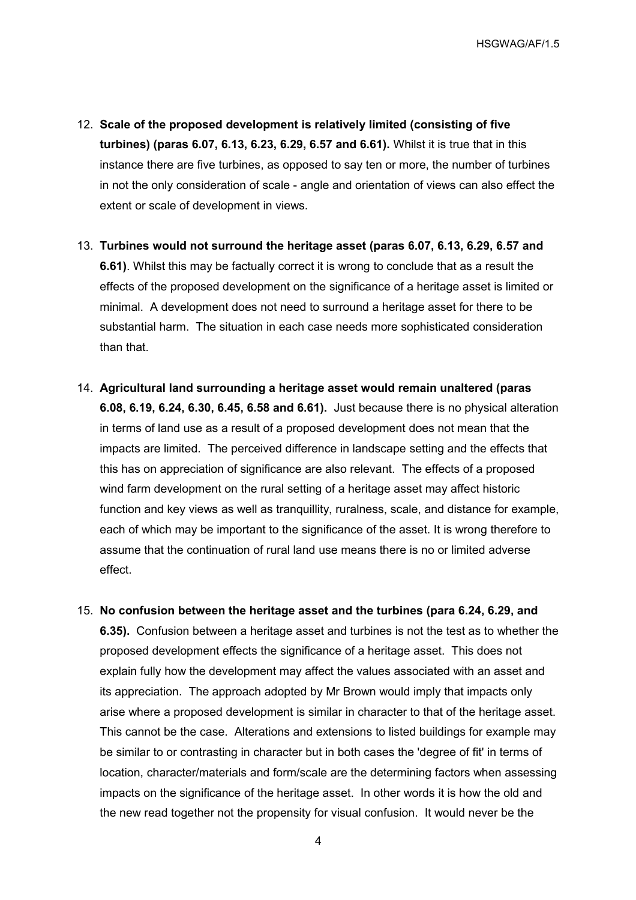- 12. **Scale of the proposed development is relatively limited (consisting of five turbines) (paras 6.07, 6.13, 6.23, 6.29, 6.57 and 6.61).** Whilst it is true that in this instance there are five turbines, as opposed to say ten or more, the number of turbines in not the only consideration of scale - angle and orientation of views can also effect the extent or scale of development in views.
- 13. **Turbines would not surround the heritage asset (paras 6.07, 6.13, 6.29, 6.57 and 6.61)**. Whilst this may be factually correct it is wrong to conclude that as a result the effects of the proposed development on the significance of a heritage asset is limited or minimal. A development does not need to surround a heritage asset for there to be substantial harm. The situation in each case needs more sophisticated consideration than that.
- 14. **Agricultural land surrounding a heritage asset would remain unaltered (paras 6.08, 6.19, 6.24, 6.30, 6.45, 6.58 and 6.61).** Just because there is no physical alteration in terms of land use as a result of a proposed development does not mean that the impacts are limited. The perceived difference in landscape setting and the effects that this has on appreciation of significance are also relevant. The effects of a proposed wind farm development on the rural setting of a heritage asset may affect historic function and key views as well as tranquillity, ruralness, scale, and distance for example, each of which may be important to the significance of the asset. It is wrong therefore to assume that the continuation of rural land use means there is no or limited adverse effect.
- 15. **No confusion between the heritage asset and the turbines (para 6.24, 6.29, and 6.35).** Confusion between a heritage asset and turbines is not the test as to whether the proposed development effects the significance of a heritage asset. This does not explain fully how the development may affect the values associated with an asset and its appreciation. The approach adopted by Mr Brown would imply that impacts only arise where a proposed development is similar in character to that of the heritage asset. This cannot be the case. Alterations and extensions to listed buildings for example may be similar to or contrasting in character but in both cases the 'degree of fit' in terms of location, character/materials and form/scale are the determining factors when assessing impacts on the significance of the heritage asset. In other words it is how the old and the new read together not the propensity for visual confusion. It would never be the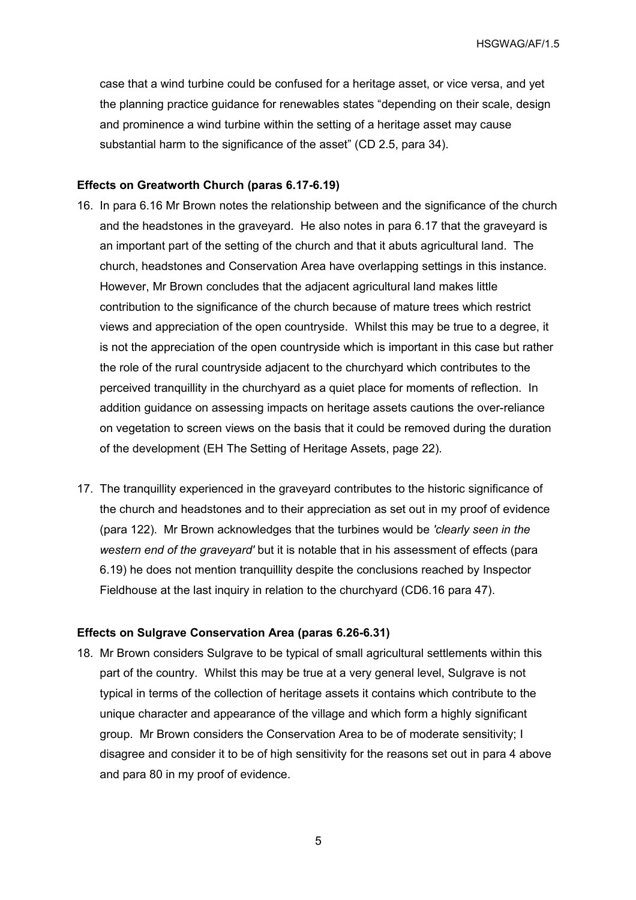case that a wind turbine could be confused for a heritage asset, or vice versa, and yet the planning practice guidance for renewables states "depending on their scale, design and prominence a wind turbine within the setting of a heritage asset may cause substantial harm to the significance of the asset" (CD 2.5, para 34).

#### **Effects on Greatworth Church (paras 6.17-6.19)**

- 16. In para 6.16 Mr Brown notes the relationship between and the significance of the church and the headstones in the graveyard. He also notes in para 6.17 that the graveyard is an important part of the setting of the church and that it abuts agricultural land. The church, headstones and Conservation Area have overlapping settings in this instance. However, Mr Brown concludes that the adjacent agricultural land makes little contribution to the significance of the church because of mature trees which restrict views and appreciation of the open countryside. Whilst this may be true to a degree, it is not the appreciation of the open countryside which is important in this case but rather the role of the rural countryside adjacent to the churchyard which contributes to the perceived tranquillity in the churchyard as a quiet place for moments of reflection. In addition guidance on assessing impacts on heritage assets cautions the over-reliance on vegetation to screen views on the basis that it could be removed during the duration of the development (EH The Setting of Heritage Assets, page 22).
- 17. The tranquillity experienced in the graveyard contributes to the historic significance of the church and headstones and to their appreciation as set out in my proof of evidence (para 122). Mr Brown acknowledges that the turbines would be *'clearly seen in the western end of the graveyard'* but it is notable that in his assessment of effects (para 6.19) he does not mention tranquillity despite the conclusions reached by Inspector Fieldhouse at the last inquiry in relation to the churchyard (CD6.16 para 47).

#### **Effects on Sulgrave Conservation Area (paras 6.26-6.31)**

18. Mr Brown considers Sulgrave to be typical of small agricultural settlements within this part of the country. Whilst this may be true at a very general level, Sulgrave is not typical in terms of the collection of heritage assets it contains which contribute to the unique character and appearance of the village and which form a highly significant group. Mr Brown considers the Conservation Area to be of moderate sensitivity; I disagree and consider it to be of high sensitivity for the reasons set out in para 4 above and para 80 in my proof of evidence.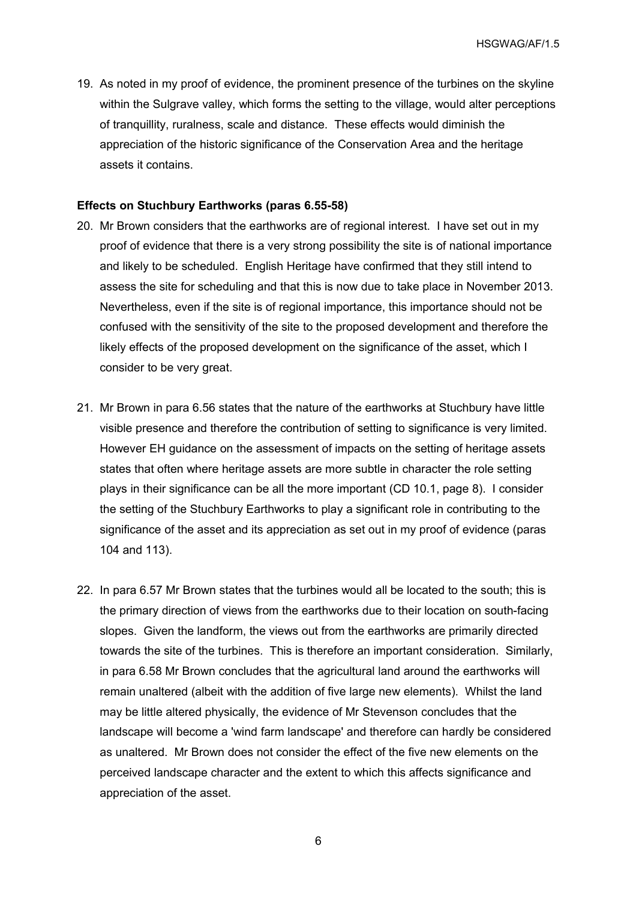19. As noted in my proof of evidence, the prominent presence of the turbines on the skyline within the Sulgrave valley, which forms the setting to the village, would alter perceptions of tranquillity, ruralness, scale and distance. These effects would diminish the appreciation of the historic significance of the Conservation Area and the heritage assets it contains.

#### **Effects on Stuchbury Earthworks (paras 6.55-58)**

- 20. Mr Brown considers that the earthworks are of regional interest. I have set out in my proof of evidence that there is a very strong possibility the site is of national importance and likely to be scheduled. English Heritage have confirmed that they still intend to assess the site for scheduling and that this is now due to take place in November 2013. Nevertheless, even if the site is of regional importance, this importance should not be confused with the sensitivity of the site to the proposed development and therefore the likely effects of the proposed development on the significance of the asset, which I consider to be very great.
- 21. Mr Brown in para 6.56 states that the nature of the earthworks at Stuchbury have little visible presence and therefore the contribution of setting to significance is very limited. However EH guidance on the assessment of impacts on the setting of heritage assets states that often where heritage assets are more subtle in character the role setting plays in their significance can be all the more important (CD 10.1, page 8). I consider the setting of the Stuchbury Earthworks to play a significant role in contributing to the significance of the asset and its appreciation as set out in my proof of evidence (paras 104 and 113).
- 22. In para 6.57 Mr Brown states that the turbines would all be located to the south; this is the primary direction of views from the earthworks due to their location on south-facing slopes. Given the landform, the views out from the earthworks are primarily directed towards the site of the turbines. This is therefore an important consideration. Similarly, in para 6.58 Mr Brown concludes that the agricultural land around the earthworks will remain unaltered (albeit with the addition of five large new elements). Whilst the land may be little altered physically, the evidence of Mr Stevenson concludes that the landscape will become a 'wind farm landscape' and therefore can hardly be considered as unaltered. Mr Brown does not consider the effect of the five new elements on the perceived landscape character and the extent to which this affects significance and appreciation of the asset.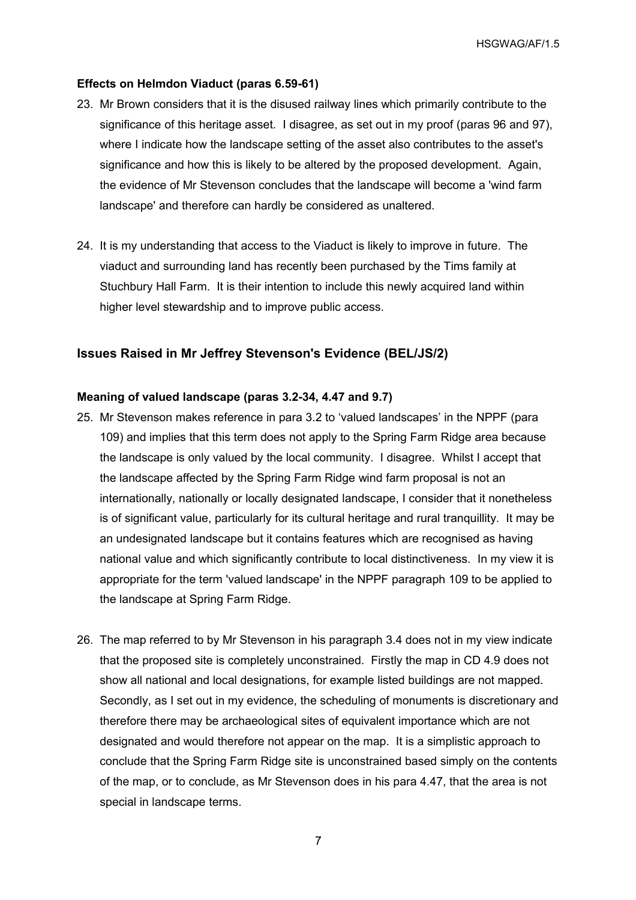#### **Effects on Helmdon Viaduct (paras 6.59-61)**

- 23. Mr Brown considers that it is the disused railway lines which primarily contribute to the significance of this heritage asset. I disagree, as set out in my proof (paras 96 and 97), where I indicate how the landscape setting of the asset also contributes to the asset's significance and how this is likely to be altered by the proposed development. Again, the evidence of Mr Stevenson concludes that the landscape will become a 'wind farm landscape' and therefore can hardly be considered as unaltered.
- 24. It is my understanding that access to the Viaduct is likely to improve in future. The viaduct and surrounding land has recently been purchased by the Tims family at Stuchbury Hall Farm. It is their intention to include this newly acquired land within higher level stewardship and to improve public access.

#### **Issues Raised in Mr Jeffrey Stevenson's Evidence (BEL/JS/2)**

#### **Meaning of valued landscape (paras 3.2-34, 4.47 and 9.7)**

- 25. Mr Stevenson makes reference in para 3.2 to 'valued landscapes' in the NPPF (para 109) and implies that this term does not apply to the Spring Farm Ridge area because the landscape is only valued by the local community. I disagree. Whilst I accept that the landscape affected by the Spring Farm Ridge wind farm proposal is not an internationally, nationally or locally designated landscape, I consider that it nonetheless is of significant value, particularly for its cultural heritage and rural tranquillity. It may be an undesignated landscape but it contains features which are recognised as having national value and which significantly contribute to local distinctiveness. In my view it is appropriate for the term 'valued landscape' in the NPPF paragraph 109 to be applied to the landscape at Spring Farm Ridge.
- 26. The map referred to by Mr Stevenson in his paragraph 3.4 does not in my view indicate that the proposed site is completely unconstrained. Firstly the map in CD 4.9 does not show all national and local designations, for example listed buildings are not mapped. Secondly, as I set out in my evidence, the scheduling of monuments is discretionary and therefore there may be archaeological sites of equivalent importance which are not designated and would therefore not appear on the map. It is a simplistic approach to conclude that the Spring Farm Ridge site is unconstrained based simply on the contents of the map, or to conclude, as Mr Stevenson does in his para 4.47, that the area is not special in landscape terms.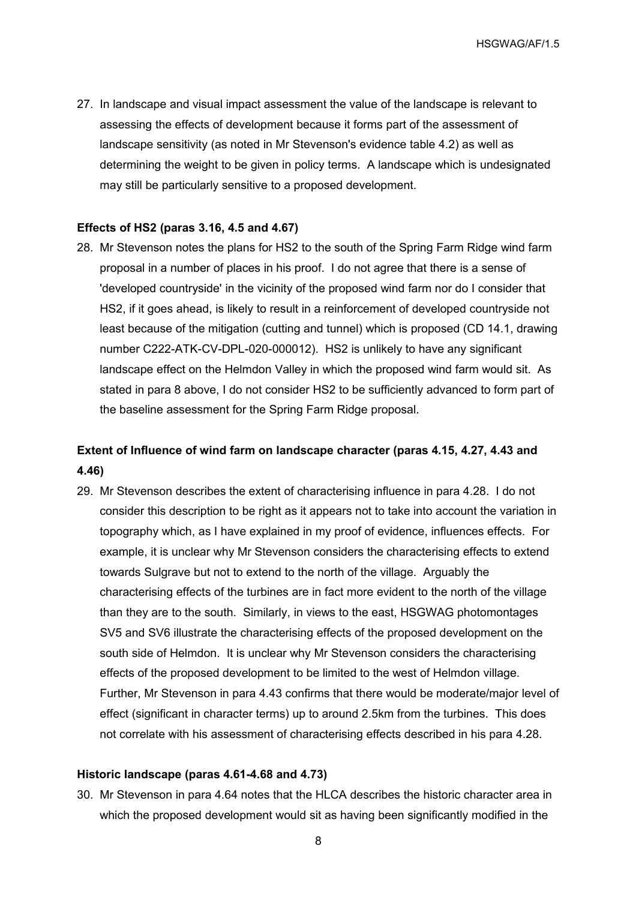27. In landscape and visual impact assessment the value of the landscape is relevant to assessing the effects of development because it forms part of the assessment of landscape sensitivity (as noted in Mr Stevenson's evidence table 4.2) as well as determining the weight to be given in policy terms. A landscape which is undesignated may still be particularly sensitive to a proposed development.

#### **Effects of HS2 (paras 3.16, 4.5 and 4.67)**

28. Mr Stevenson notes the plans for HS2 to the south of the Spring Farm Ridge wind farm proposal in a number of places in his proof. I do not agree that there is a sense of 'developed countryside' in the vicinity of the proposed wind farm nor do I consider that HS2, if it goes ahead, is likely to result in a reinforcement of developed countryside not least because of the mitigation (cutting and tunnel) which is proposed (CD 14.1, drawing number C222-ATK-CV-DPL-020-000012). HS2 is unlikely to have any significant landscape effect on the Helmdon Valley in which the proposed wind farm would sit. As stated in para 8 above, I do not consider HS2 to be sufficiently advanced to form part of the baseline assessment for the Spring Farm Ridge proposal.

## **Extent of Influence of wind farm on landscape character (paras 4.15, 4.27, 4.43 and 4.46)**

29. Mr Stevenson describes the extent of characterising influence in para 4.28. I do not consider this description to be right as it appears not to take into account the variation in topography which, as I have explained in my proof of evidence, influences effects. For example, it is unclear why Mr Stevenson considers the characterising effects to extend towards Sulgrave but not to extend to the north of the village. Arguably the characterising effects of the turbines are in fact more evident to the north of the village than they are to the south. Similarly, in views to the east, HSGWAG photomontages SV5 and SV6 illustrate the characterising effects of the proposed development on the south side of Helmdon. It is unclear why Mr Stevenson considers the characterising effects of the proposed development to be limited to the west of Helmdon village. Further, Mr Stevenson in para 4.43 confirms that there would be moderate/major level of effect (significant in character terms) up to around 2.5km from the turbines. This does not correlate with his assessment of characterising effects described in his para 4.28.

#### **Historic landscape (paras 4.61-4.68 and 4.73)**

30. Mr Stevenson in para 4.64 notes that the HLCA describes the historic character area in which the proposed development would sit as having been significantly modified in the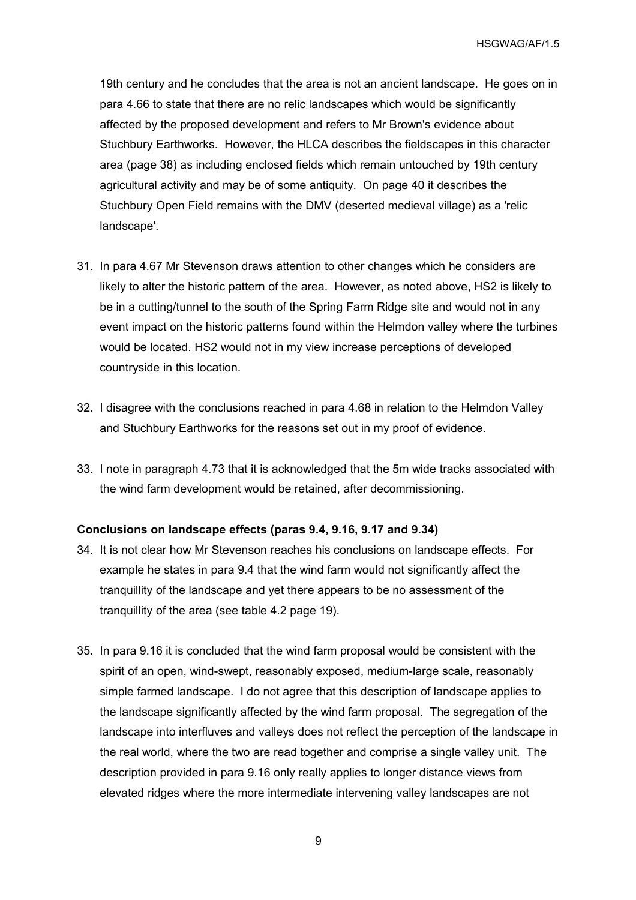19th century and he concludes that the area is not an ancient landscape. He goes on in para 4.66 to state that there are no relic landscapes which would be significantly affected by the proposed development and refers to Mr Brown's evidence about Stuchbury Earthworks. However, the HLCA describes the fieldscapes in this character area (page 38) as including enclosed fields which remain untouched by 19th century agricultural activity and may be of some antiquity. On page 40 it describes the Stuchbury Open Field remains with the DMV (deserted medieval village) as a 'relic landscape'.

- 31. In para 4.67 Mr Stevenson draws attention to other changes which he considers are likely to alter the historic pattern of the area. However, as noted above, HS2 is likely to be in a cutting/tunnel to the south of the Spring Farm Ridge site and would not in any event impact on the historic patterns found within the Helmdon valley where the turbines would be located. HS2 would not in my view increase perceptions of developed countryside in this location.
- 32. I disagree with the conclusions reached in para 4.68 in relation to the Helmdon Valley and Stuchbury Earthworks for the reasons set out in my proof of evidence.
- 33. I note in paragraph 4.73 that it is acknowledged that the 5m wide tracks associated with the wind farm development would be retained, after decommissioning.

#### **Conclusions on landscape effects (paras 9.4, 9.16, 9.17 and 9.34)**

- 34. It is not clear how Mr Stevenson reaches his conclusions on landscape effects. For example he states in para 9.4 that the wind farm would not significantly affect the tranquillity of the landscape and yet there appears to be no assessment of the tranquillity of the area (see table 4.2 page 19).
- 35. In para 9.16 it is concluded that the wind farm proposal would be consistent with the spirit of an open, wind-swept, reasonably exposed, medium-large scale, reasonably simple farmed landscape. I do not agree that this description of landscape applies to the landscape significantly affected by the wind farm proposal. The segregation of the landscape into interfluves and valleys does not reflect the perception of the landscape in the real world, where the two are read together and comprise a single valley unit. The description provided in para 9.16 only really applies to longer distance views from elevated ridges where the more intermediate intervening valley landscapes are not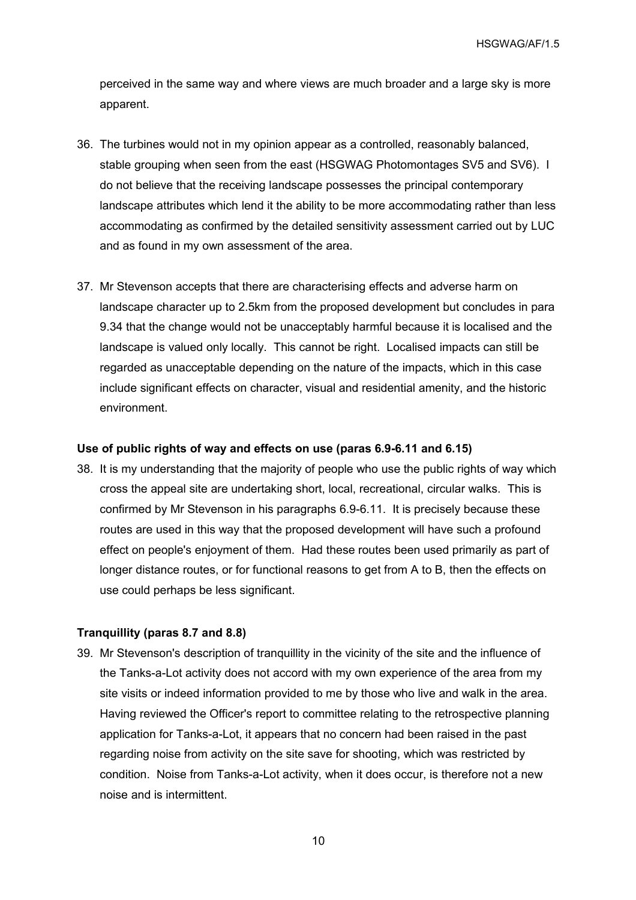perceived in the same way and where views are much broader and a large sky is more apparent.

- 36. The turbines would not in my opinion appear as a controlled, reasonably balanced, stable grouping when seen from the east (HSGWAG Photomontages SV5 and SV6). I do not believe that the receiving landscape possesses the principal contemporary landscape attributes which lend it the ability to be more accommodating rather than less accommodating as confirmed by the detailed sensitivity assessment carried out by LUC and as found in my own assessment of the area.
- 37. Mr Stevenson accepts that there are characterising effects and adverse harm on landscape character up to 2.5km from the proposed development but concludes in para 9.34 that the change would not be unacceptably harmful because it is localised and the landscape is valued only locally. This cannot be right. Localised impacts can still be regarded as unacceptable depending on the nature of the impacts, which in this case include significant effects on character, visual and residential amenity, and the historic environment.

#### **Use of public rights of way and effects on use (paras 6.9-6.11 and 6.15)**

38. It is my understanding that the majority of people who use the public rights of way which cross the appeal site are undertaking short, local, recreational, circular walks. This is confirmed by Mr Stevenson in his paragraphs 6.9-6.11. It is precisely because these routes are used in this way that the proposed development will have such a profound effect on people's enjoyment of them. Had these routes been used primarily as part of longer distance routes, or for functional reasons to get from A to B, then the effects on use could perhaps be less significant.

#### **Tranquillity (paras 8.7 and 8.8)**

39. Mr Stevenson's description of tranquillity in the vicinity of the site and the influence of the Tanks-a-Lot activity does not accord with my own experience of the area from my site visits or indeed information provided to me by those who live and walk in the area. Having reviewed the Officer's report to committee relating to the retrospective planning application for Tanks-a-Lot, it appears that no concern had been raised in the past regarding noise from activity on the site save for shooting, which was restricted by condition. Noise from Tanks-a-Lot activity, when it does occur, is therefore not a new noise and is intermittent.